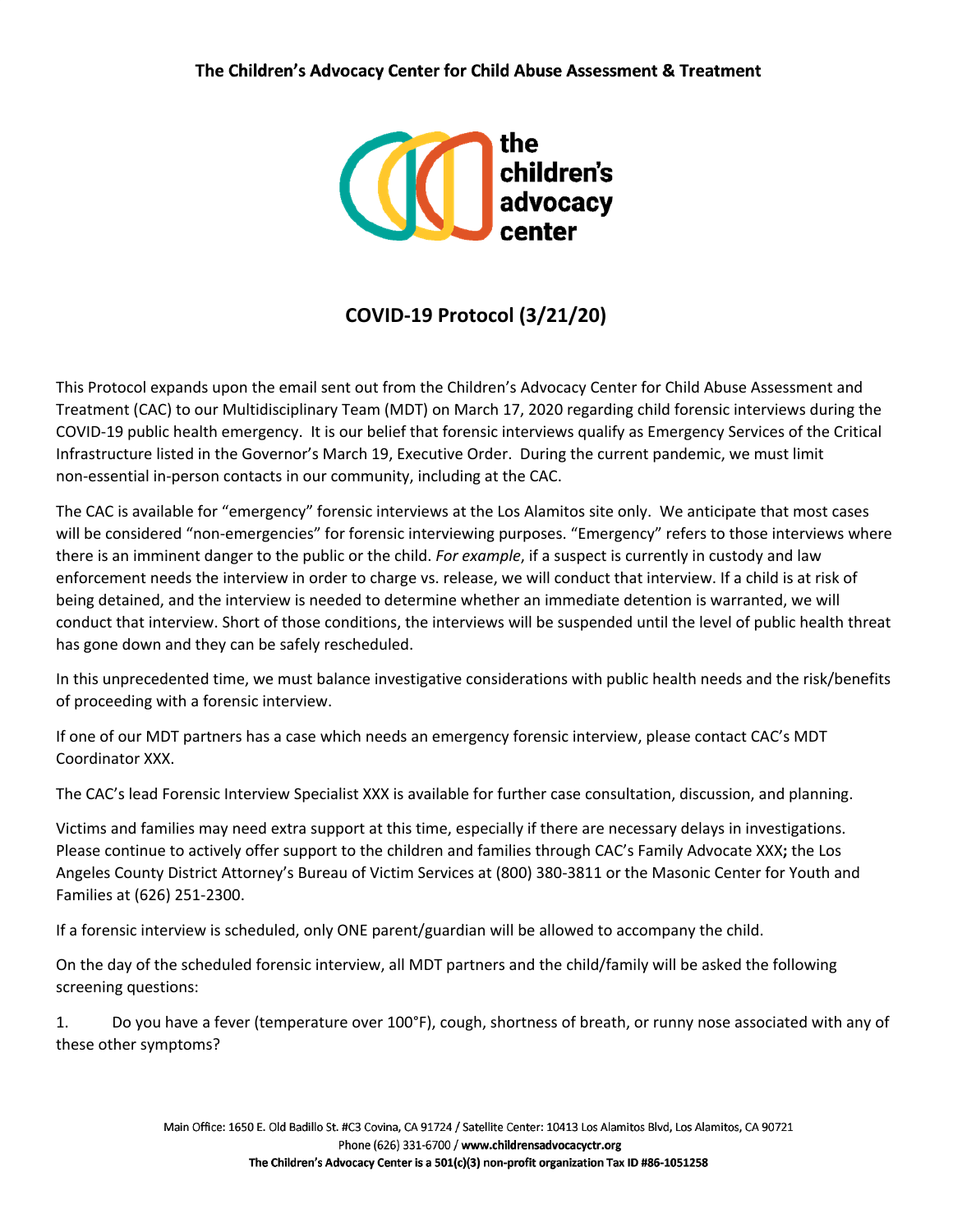

## **COVID-19 Protocol (3/21/20)**

This Protocol expands upon the email sent out from the Children's Advocacy Center for Child Abuse Assessment and Treatment (CAC) to our Multidisciplinary Team (MDT) on March 17, 2020 regarding child forensic interviews during the COVID-19 public health emergency. It is our belief that forensic interviews qualify as Emergency Services of the Critical Infrastructure listed in the Governor's March 19, Executive Order. During the current pandemic, we must limit non-essential in-person contacts in our community, including at the CAC.

The CAC is available for "emergency" forensic interviews at the Los Alamitos site only. We anticipate that most cases will be considered "non-emergencies" for forensic interviewing purposes. "Emergency" refers to those interviews where there is an imminent danger to the public or the child. *For example*, if a suspect is currently in custody and law enforcement needs the interview in order to charge vs. release, we will conduct that interview. If a child is at risk of being detained, and the interview is needed to determine whether an immediate detention is warranted, we will conduct that interview. Short of those conditions, the interviews will be suspended until the level of public health threat has gone down and they can be safely rescheduled.

In this unprecedented time, we must balance investigative considerations with public health needs and the risk/benefits of proceeding with a forensic interview.

If one of our MDT partners has a case which needs an emergency forensic interview, please contact CAC's MDT Coordinator XXX.

The CAC's lead Forensic Interview Specialist XXX is available for further case consultation, discussion, and planning.

Victims and families may need extra support at this time, especially if there are necessary delays in investigations. Please continue to actively offer support to the children and families through CAC's Family Advocate XXX**;** the Los Angeles County District Attorney's Bureau of Victim Services at (800) 380-3811 or the Masonic Center for Youth and Families at (626) 251-2300.

If a forensic interview is scheduled, only ONE parent/guardian will be allowed to accompany the child.

On the day of the scheduled forensic interview, all MDT partners and the child/family will be asked the following screening questions:

1. Do you have a fever (temperature over 100°F), cough, shortness of breath, or runny nose associated with any of these other symptoms?